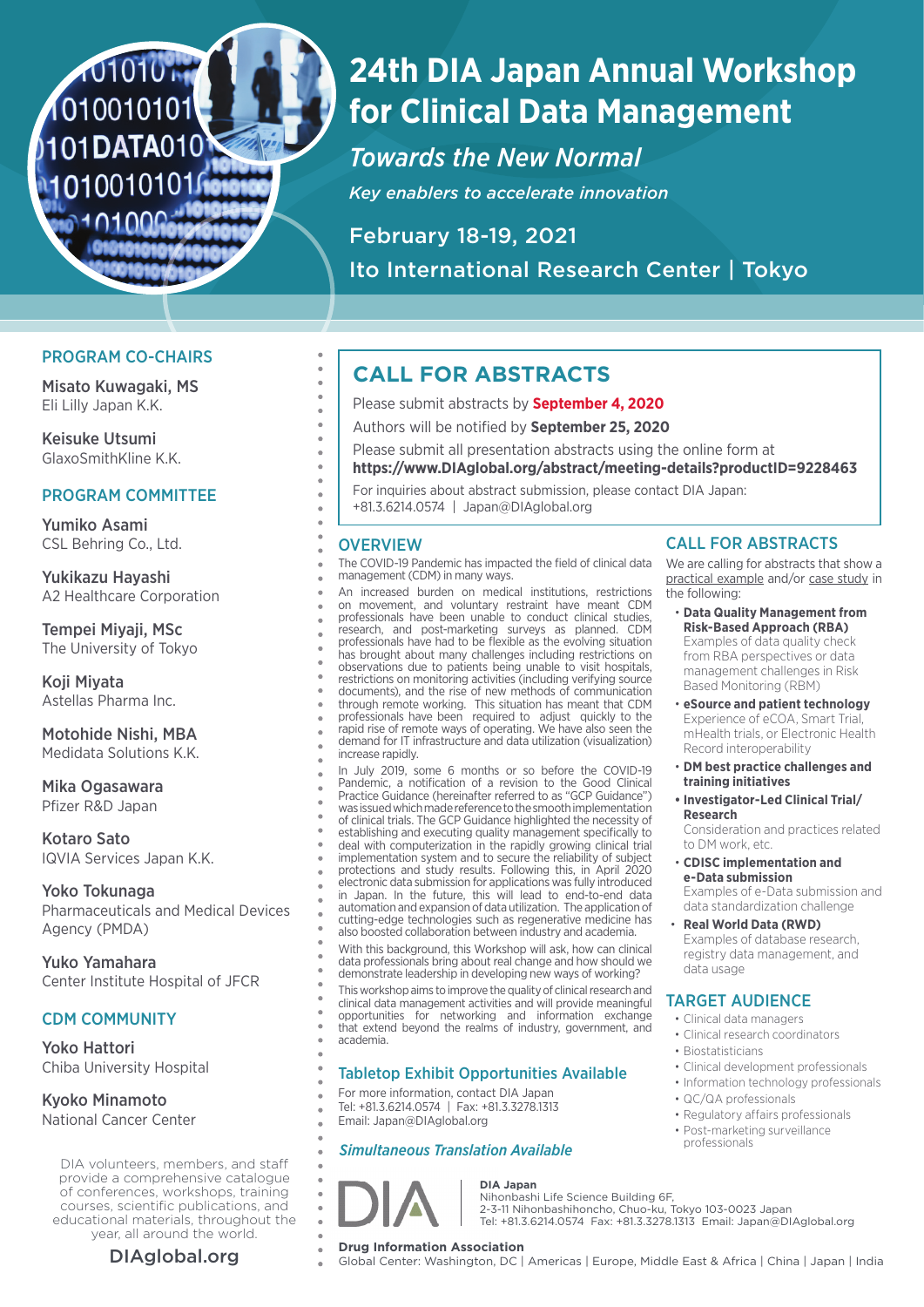## 101010 N 1010010101 101DATA010 10100101016010

## **24th DIA Japan Annual Workshop for Clinical Data Management**

*Towards the New Normal Key enablers to accelerate innovation*

February 18-19, 2021 Ito International Research Center | Tokyo

### PROGRAM CO-CHAIRS

Misato Kuwagaki, MS Eli Lilly Japan K.K.

Keisuke Utsumi GlaxoSmithKline K.K.

### PROGRAM COMMITTEE

Yumiko Asami CSL Behring Co., Ltd.

Yukikazu Hayashi A2 Healthcare Corporation

Tempei Miyaji, MSc The University of Tokyo

Koji Miyata Astellas Pharma Inc.

Motohide Nishi, MBA Medidata Solutions K.K.

Mika Ogasawara Pfizer R&D Japan

Kotaro Sato IQVIA Services Japan K.K.

Yoko Tokunaga Pharmaceuticals and Medical Devices Agency (PMDA)

Yuko Yamahara Center Institute Hospital of JFCR

### CDM COMMUNITY

Yoko Hattori Chiba University Hospital

Kyoko Minamoto National Cancer Center

DIA volunteers, members, and staff provide a comprehensive catalogue of conferences, workshops, training courses, scientific publications, and educational materials, throughout the year, all around the world.

### **CALL FOR ABSTRACTS**

- Please submit abstracts by **September 4, 2020**
- Authors will be notified by **September 25, 2020**
- Please submit all presentation abstracts using the online form at
- **https://www.DIAglobal.org/abstract/meeting-details?productID=9228463**
- For inquiries about abstract submission, please contact DIA Japan:
- +81.3.6214.0574 | Japan@DIAglobal.org

### **OVERVIEW**

The COVID-19 Pandemic has impacted the field of clinical data management (CDM) in many ways.

An increased burden on medical institutions, restrictions on movement, and voluntary restraint have meant CDM professionals have been unable to conduct clinical studies, research, and post-marketing surveys as planned. CDM professionals have had to be flexible as the evolving situation has brought about many challenges including restrictions on observations due to patients being unable to visit hospitals, restrictions on monitoring activities (including verifying source documents), and the rise of new methods of communication through remote working. This situation has meant that CDM professionals have been required to adjust quickly to the rapid rise of remote ways of operating. We have also seen the demand for IT infrastructure and data utilization (visualization) increase rapidly.

In July 2019, some 6 months or so before the COVID-19 Pandemic, a notification of a revision to the Good Clinical Practice Guidance (hereinafter referred to as "GCP Guidance") was issued which made reference to the smooth implementation of clinical trials. The GCP Guidance highlighted the necessity of establishing and executing quality management specifically to deal with computerization in the rapidly growing clinical trial implementation system and to secure the reliability of subject protections and study results. Following this, in April 2020 electronic data submission for applications was fully introduced in Japan. In the future, this will lead to end-to-end data automation and expansion of data utilization. The application of cutting-edge technologies such as regenerative medicine has also boosted collaboration between industry and academia.

With this background, this Workshop will ask, how can clinical data professionals bring about real change and how should we demonstrate leadership in developing new ways of working?

This workshop aims to improve the quality of clinical research and clinical data management activities and will provide meaningful opportunities for networking and information exchange that extend beyond the realms of industry, government, and academia.

### Tabletop Exhibit Opportunities Available

For more information, contact DIA Japan Tel: +81.3.6214.0574 | Fax: +81.3.3278.1313 Email: Japan@DIAglobal.org

### *Simultaneous Translation Available*

# **DIA Japan**

### Nihonbashi Life Science Building 6F,

2-3-11 Nihonbashihoncho, Chuo-ku, Tokyo 103-0023 Japan

#### mHealth trials, or Electronic Health Record interoperability

CALL FOR ABSTRACTS We are calling for abstracts that show a practical example and/or case study in

• **Data Quality Management from Risk-Based Approach (RBA)** Examples of data quality check from RBA perspectives or data management challenges in Risk Based Monitoring (RBM) • **eSource and patient technology** Experience of eCOA, Smart Trial,

the following:

- **DM best practice challenges and training initiatives**
- **Investigator-Led Clinical Trial/ Research**

Consideration and practices related to DM work, etc.

• **CDISC implementation and e-Data submission** Examples of e-Data submission and

data standardization challenge • **Real World Data (RWD)** 

Examples of database research, registry data management, and data usage

### TARGET AUDIENCE

- Clinical data managers
- Clinical research coordinators
- Biostatisticians
- Clinical development professionals
- Information technology professionals • QC/QA professionals
- 
- Regulatory affairs professionals • Post-marketing surveillance
- professionals

Tel: +81.3.6214.0574 Fax: +81.3.3278.1313 Email: Japan@DIAglobal.org

**DIAglobal.org Drug Information Association**<br>
Global Center: Washington, DC | Americas | Europe, Middle East & Africa | China | Japan | India